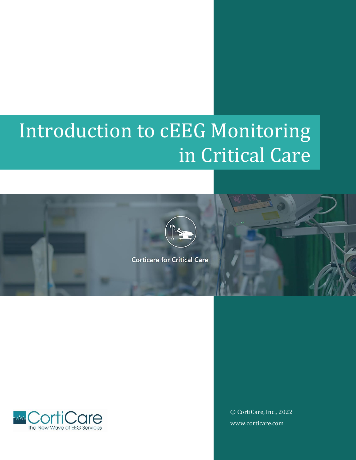# Introduction to cEEG Monitoring in Critical Care





© CortiCare, Inc., 2022 www.corticare.com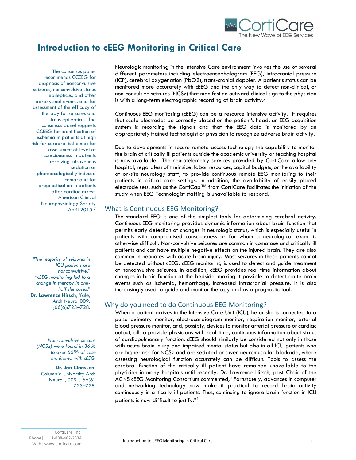

## **Introduction to cEEG Monitoring in Critical Care**

The consensus panel recommends CCEEG for diagnosis of nonconvulsive seizures, nonconvulsive status epilepticus, and other paroxysmal events, and for assessment of the efficacy of therapy for seizures and status epilepticus. The consensus panel suggests CCEEG for identification of ischemia in patients at high risk for cerebral ischemia; for assessment of level of consciousness in patients receiving intravenous sedation or pharmacologically induced coma; and for prognostication in patients after cardiac arrest. American Clinical Neurophysiology Society April 2015 <sup>7</sup>

*"The majority of seizures in ICU patients are nonconvulsive." "cEEG monitoring led to a change in therapy in onehalf the cases."*  **Dr. Lawrence Hirsch**, Yale, Arch Neurol.009. ;66(6):723–728.

*Non-convulsive seizure (NCSz) were found in 36% to over 60% of case monitored with cEEG.* 

**Dr. Jan Claassen,**  Columbia University Arch Neurol., 009. ; 66(6): 723–728. Neurologic monitoring in the Intensive Care environment involves the use of several different parameters including electroencephalogram (EEG), intracranial pressure (ICP), cerebral oxygenation (PbO2), trans-cranial doppler. A patient's status can be monitored more accurately with cEEG and the only way to detect non-clinical, or non-convulsive seizures (NCSz) that manifest no outward clinical sign to the physician is with a long-term electrographic recording of brain activity.<sup>7</sup>

Continuous EEG monitoring (cEEG) can be a resource intensive activity. It requires that scalp electrodes be correctly placed on the patient's head, an EEG acquisition system is recording the signals and that the EEG data is monitored by an appropriately trained technologist or physician to recognize adverse brain activity.

Due to developments in secure remote access technology the capability to monitor the brain of critically ill patients outside the academic university or teaching hospital is now available. The neurotelemetry services provided by CortiCare allow any hospital, regardless of their size, labor resources, capital budgets, or the availability of on-site neurology staff, to provide continuous remote EEG monitoring to their patients in critical care settings. In addition, the availability of easily placed electrode sets, such as the CortiCap™ from CortiCare facilitates the initiation of the study when EEG Technologist staffing is unavailable to respond.

## What is Continuous EEG Monitoring?

The standard EEG is one of the simplest tools for determining cerebral activity. Continuous EEG monitoring provides dynamic information about brain function that permits early detection of changes in neurologic status, which is especially useful in patients with compromised consciousness or for whom a neurological exam is otherwise difficult. Non-convulsive seizures are common in comatose and critically ill patients and can have multiple negative effects on the injured brain. They are also common in neonates with acute brain injury. Most seizures in these patients cannot be detected without cEEG. cEEG monitoring is used to detect and guide treatment of nonconvulsive seizures. In addition, cEEG provides real time information about changes in brain function at the bedside, making it possible to detect acute brain events such as ischemia, hemorrhage, increased intracranial pressure. It is also increasingly used to guide and monitor therapy and as a prognostic tool.

## Why do you need to do Continuous EEG Monitoring?

When a patient arrives in the Intensive Care Unit (ICU), he or she is connected to a pulse oximetry monitor, electrocardiogram monitor, respiration monitor, arterial blood pressure monitor, and, possibly, devices to monitor arterial pressure or cardiac output, all to provide physicians with real-time, continuous information about status of cardiopulmonary function. cEEG should similarly be considered not only in those with acute brain injury and impaired mental status but also in all ICU patients who are higher risk for NCSz and are sedated or given neuromuscular blockade, where assessing neurological function accurately can be difficult. Tools to assess the cerebral function of the critically ill patient have remained unavailable to the physician in many hospitals until recently. Dr. Lawrence Hirsch, past Chair of the ACNS cEEG Monitoring Consortium commented, "Fortunately, advances in computer and networking technology now make it practical to record brain activity continuously in critically ill patients. Thus, continuing to ignore brain function in ICU patients is now difficult to justify." $^{\rm 1}$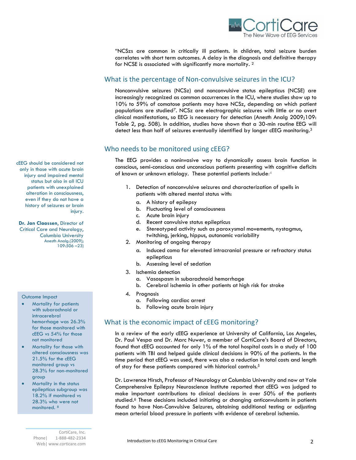

"NCSzs are common in critically ill patients. In children, total seizure burden correlates with short term outcomes. A delay in the diagnosis and definitive therapy for NCSE is associated with significantly more mortality. 2

## What is the percentage of Non-convulsive seizures in the ICU?

Nonconvulsive seizures (NCSz) and nonconvulsive status epilepticus (NCSE) are increasingly recognized as common occurrences in the ICU, where studies show up to 10% to 59% of comatose patients may have NCSz, depending on which patient populations are studied7. NCSz are electrographic seizures with little or no overt clinical manifestations, so EEG is necessary for detection (Anesth Analg 2009;109: Table 2, pg. 508). In addition, studies have shown that a 30-min routine EEG will detect less than half of seizures eventually identified by longer cEEG monitoring.<sup>3</sup>

## Who needs to be monitored using cEEG?

The EEG provides a noninvasive way to dynamically assess brain function in conscious, semi-conscious and unconscious patients presenting with cognitive deficits of known or unknown etiology. These potential patients include:<sup>4</sup>

- 1. Detection of nonconvulsive seizures and characterization of spells in patients with altered mental status with:
	- a. A history of epilepsy
	- b. Fluctuating level of consciousness
	- c. Acute brain injury
	- d. Recent convulsive status epilepticus
	- e. Stereotyped activity such as paroxysmal movements, nystagmus, twitching, jerking, hippus, autonomic variability
- 2. Monitoring of ongoing therapy
	- a. Induced coma for elevated intracranial pressure or refractory status epilepticus
	- b. Assessing level of sedation
- 3. Ischemia detection
	- a. Vasospasm in subarachnoid hemorrhage
	- b. Cerebral ischemia in other patients at high risk for stroke
- 4. Prognosis
	- a. Following cardiac arrest
	- b. Following acute brain injury

## What is the economic impact of cEEG monitoring?

In a review of the early cEEG experience at University of California, Los Angeles, Dr. Paul Vespa and Dr. Marc Nuwer, a member of CortiCare's Board of Directors, found that cEEG accounted for only 1% of the total hospital costs in a study of 100 patients with TBI and helped guide clinical decisions in 90% of the patients. In the time period that cEEG was used, there was also a reduction in total costs and length of stay for these patients compared with historical controls.<sup>5</sup>

Dr. Lawrence Hirsch, Professor of Neurology at Columbia University and now at Yale Comprehensive Epilepsy Neuroscience Institute reported that cEEG was judged to make important contributions to clinical decisions in over 50% of the patients studied.<sup>6</sup> These decisions included initiating or changing anticonvulsants in patients found to have Non-Convulsive Seizures, obtaining additional testing or adjusting mean arterial blood pressure in patients with evidence of cerebral ischemia.

cEEG should be considered not only in those with acute brain injury and impaired mental status but also in all ICU patients with unexplained alteration in consciousness, even if they do not have a history of seizures or brain injury.

**Dr. Jan Claassen**, Director of Critical Care and Neurology, Columbia University Anesth Analg.(2009); 109:506 –23)

#### Outcome Impact

- Mortality for patients with subarachnoid or intracerebral hemorrhage was 26.3% for those monitored with cEEG vs 54% for those not monitored
- Mortality for those with altered consciousness was 21.5% for the cEEG monitored group vs 28.3% for non-monitored group
- Mortality in the status epilepticus subgroup was 18.2% if monitored vs 28.3% who were not monitored. <sup>8</sup>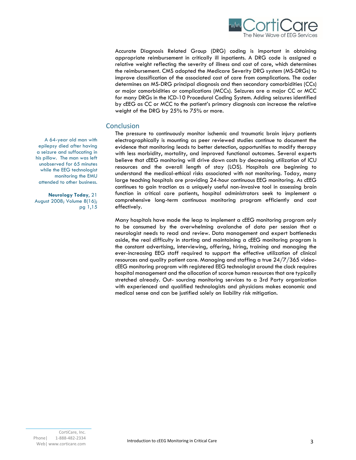

Accurate Diagnosis Related Group (DRG) coding is important in obtaining appropriate reimbursement in critically ill inpatients. A DRG code is assigned a relative weight reflecting the severity of illness and cost of care, which determines the reimbursement. CMS adopted the Medicare Severity DRG system (MS-DRGs) to improve classification of the associated cost of care from complications. The coder determines an MS-DRG principal diagnosis and then secondary comorbidities (CCs) or major comorbidities or complications (MCCs). Seizures are a major CC or MCC for many DRGs in the ICD-10 Procedural Coding System. Adding seizures identified by cEEG as CC or MCC to the patient's primary diagnosis can increase the relative weight of the DRG by 25% to 75% or more.

## **Conclusion**

The pressure to continuously monitor ischemic and traumatic brain injury patients electrographically is mounting as peer reviewed studies continue to document the evidence that monitoring leads to better detection, opportunities to modify therapy with less morbidity, mortality, and improved functional outcomes. Several experts believe that cEEG monitoring will drive down costs by decreasing utilization of ICU resources and the overall length of stay (LOS). Hospitals are beginning to understand the medical-ethical risks associated with not monitoring. Today, many large teaching hospitals are providing 24-hour continuous EEG monitoring. As cEEG continues to gain traction as a uniquely useful non-invasive tool in assessing brain function in critical care patients, hospital administrators seek to implement a comprehensive long-term continuous monitoring program efficiently and cost effectively.

Many hospitals have made the leap to implement a cEEG monitoring program only to be consumed by the overwhelming avalanche of data per session that a neurologist needs to read and review. Data management and expert bottlenecks aside, the real difficulty in starting and maintaining a cEEG monitoring program is the constant advertising, interviewing, offering, hiring, training and managing the ever-increasing EEG staff required to support the effective utilization of clinical resources and quality patient care. Managing and staffing a true  $24/7/365$  videocEEG monitoring program with registered EEG technologist around the clock requires hospital management and the allocation of scarce human resources that are typically stretched already. Out- sourcing monitoring services to a 3rd Party organization with experienced and qualified technologists and physicians makes economic and medical sense and can be justified solely on liability risk mitigation.

A 64-year old man with epilepsy died after having a seizure and suffocating in his pillow. The man was left unobserved for 65 minutes while the EEG technologist monitoring the EMU attended to other business.

**Neurology Today**, 21 August 2008; Volume 8(16); pg 1,15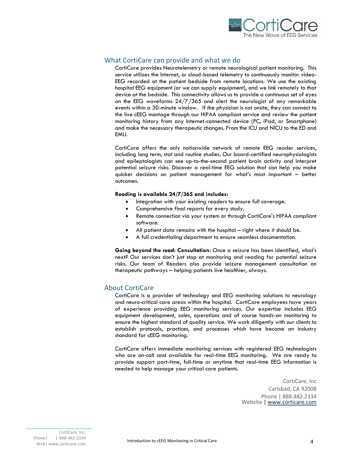

## What CortiCare can provide and what we do

CortiCare provides Neurotelemetry or remote neurological patient monitoring. This service utilizes the Internet, or cloud-based telemetry to continuously monitor video-EEG recorded at the patient bedside from remote locations. We use the existing hospital EEG equipment (or we can supply equipment), and we link remotely to that device at the bedside. This connectivity allows us to provide a continuous set of eyes on the EEG waveforms  $24/7/365$  and alert the neurologist of any remarkable events within a 30-minute window. If the physician is not onsite, they can connect to the live cEEG montage through our HIPAA compliant service and review the patient monitoring history from any Internet-connected device (PC, iPad, or Smartphone) and make the necessary therapeutic changes. From the ICU and NICU to the ED and EMU.

CortiCare offers the only nationwide network of remote EEG reader services, including long term, stat and routine studies. Our board-certified neurophysiologists and epileptologists can see up-to-the-second patient brain activity and interpret potential seizure risks. Discover a real-time EEG solution that can help you make quicker decisions on patient management for what's most important – better outcomes.

#### **Reading is available 24/7/365 and includes:**

- Integration with your existing readers to ensure full coverage.
- Comprehensive final reports for every study.
- Remote connection via your system or through CortiCare's HIPAA compliant software.
- All patient data remains with the hospital right where it should be.
- A full credentialing department to ensure seamless documentation.

**Going beyond the read: Consultation:** Once a seizure has been identified, what's next? Our services don't just stop at monitoring and reading for potential seizure risks. Our team of Readers also provide seizure management consultation on therapeutic pathways – helping patients live healthier, always.

## About CortiCare

CortiCare is a provider of technology and EEG monitoring solutions to neurology and neuro-critical care areas within the hospital. CortiCare employees have years of experience providing EEG monitoring services. Our expertise includes EEG equipment development, sales, operations and of course hands-on monitoring to ensure the highest standard of quality service. We work diligently with our clients to establish protocols, practices, and processes which have become an industry standard for cEEG monitoring.

CortiCare offers immediate monitoring services with registered EEG technologists who are on-call and available for real-time EEG monitoring. We are ready to provide support part-time, full-time or anytime that real-time EEG information is needed to help manage your critical care patients.

> CortiCare, Inc Carlsbad, CA 92008 Phone | 888.482.2334 Website | [www.corticare.com](http://www.corticare.com/)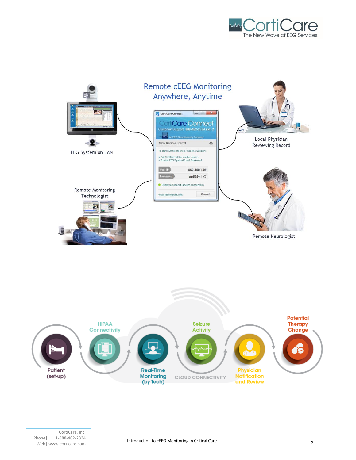